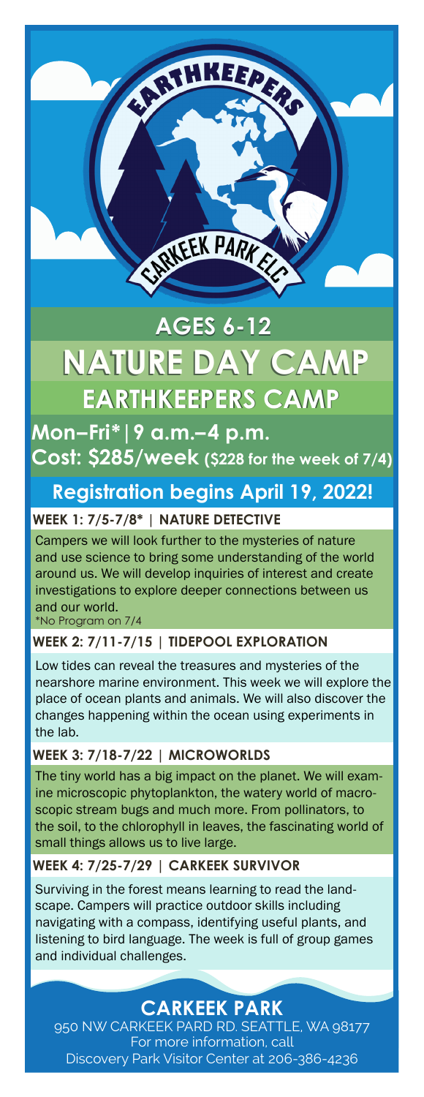# **NATURE DAY CAMP NATURE DAY CAMP AGES 6-12 AGES 6-12 EARTHKEEPERS CAMP EARTHKEEPERS CAMP**

ENTREEK PARK

HKEEP

**Mon–Fri\*|9 a.m.–4 p.m. Cost: \$285/week (\$228 for the week of 7/4)**

# **Registration begins April 19, 2022!**

## **WEEK 1: 7/5-7/8\* | NATURE DETECTIVE**

Campers we will look further to the mysteries of nature and use science to bring some understanding of the world around us. We will develop inquiries of interest and create investigations to explore deeper connections between us and our world. \*No Program on 7/4

## **WEEK 2: 7/11-7/15 | TIDEPOOL EXPLORATION**

Low tides can reveal the treasures and mysteries of the nearshore marine environment. This week we will explore the place of ocean plants and animals. We will also discover the changes happening within the ocean using experiments in the lab.

## **WEEK 3: 7/18-7/22 | MICROWORLDS**

The tiny world has a big impact on the planet. We will examine microscopic phytoplankton, the watery world of macroscopic stream bugs and much more. From pollinators, to the soil, to the chlorophyll in leaves, the fascinating world of small things allows us to live large.

## **WEEK 4: 7/25-7/29 | CARKEEK SURVIVOR**

Surviving in the forest means learning to read the landscape. Campers will practice outdoor skills including navigating with a compass, identifying useful plants, and listening to bird language. The week is full of group games and individual challenges.

**CARKEEK PARK**

950 NW CARKEEK PARD RD. SEATTLE, WA 98177 For more information, call Discovery Park Visitor Center at 206-386-4236